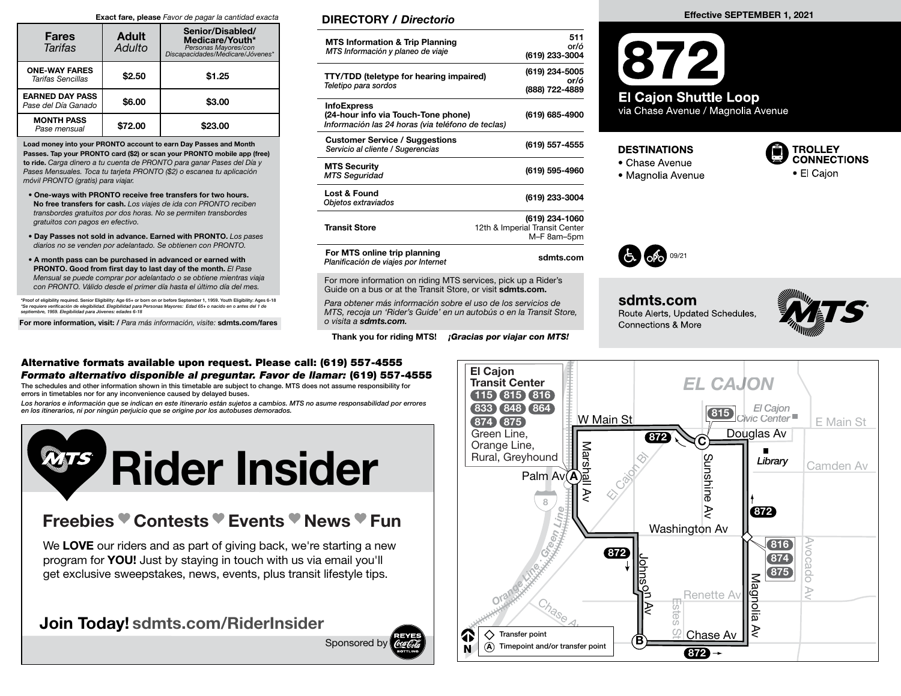#### Exact fare, please Favor de pagar la cantidad exacta

| <b>Fares</b><br>Tarifas                       | <b>Adult</b><br>Adulto | Senior/Disabled/<br>Medicare/Youth*<br>Personas Mayores/con<br>*Discapacidades/Medicare/Jóvenes |  |
|-----------------------------------------------|------------------------|-------------------------------------------------------------------------------------------------|--|
| <b>ONE-WAY FARES</b><br>Tarifas Sencillas     | \$2.50                 | \$1.25                                                                                          |  |
| <b>EARNED DAY PASS</b><br>Pase del Día Ganado | \$6.00                 | \$3.00                                                                                          |  |
| <b>MONTH PASS</b><br>Pase mensual             | \$72.00                | \$23,00                                                                                         |  |

Load money into your PRONTO account to earn Day Passes and Month Passes. Tap your PRONTO card (\$2) or scan your PRONTO mobile app (free) to ride. Carga dinero a tu cuenta de PRONTO para ganar Pases del Día y Pases Mensuales. Toca tu tarjeta PRONTO (\$2) o escanea tu aplicación móvil PRONTO (gratis) para viajar.

- One-ways with PRONTO receive free transfers for two hours. No free transfers for cash. Los viajes de ida con PRONTO reciben transbordes gratuitos por dos horas. No se permiten transbordes gratuitos con pagos en efectivo.
- Day Passes not sold in advance. Earned with PRONTO. Los pases diarios no se venden por adelantado. Se obtienen con PRONTO.
- A month pass can be purchased in advanced or earned with PRONTO. Good from first day to last day of the month. El Pase Mensual se puede comprar por adelantado o se obtiene mientras viaja con PRONTO. Válido desde el primer día hasta el último día del mes.

\*Proof of eligibility required. Senior Eligibility: Age 65+ or born on or before September 1, 1959. Youth Eligibility: Ages 6-18<br>\*Se requiere verificación de elegibilidad. Elegibilidad para Personas Mayores: Edad 65+ o nac

For more information, visit: / Para más información, visite: sdmts.com/fares

#### DIRECTORY / Directorio

| <b>MTS Information &amp; Trip Planning</b><br>MTS Información y planeo de viaje                                | 511<br>or/ó<br>(619) 233-3004                                   |
|----------------------------------------------------------------------------------------------------------------|-----------------------------------------------------------------|
| <b>TTY/TDD</b> (teletype for hearing impaired)<br>Teletipo para sordos                                         | (619) 234-5005<br>or/ó<br>(888) 722-4889                        |
| <b>InfoExpress</b><br>(24-hour info via Touch-Tone phone)<br>Información las 24 horas (via teléfono de teclas) | (619) 685-4900                                                  |
| <b>Customer Service / Suggestions</b><br>Servicio al cliente / Sugerencias                                     | (619) 557-4555                                                  |
| <b>MTS Security</b><br><b>MTS Seguridad</b>                                                                    | (619) 595-4960                                                  |
| Lost & Found<br>Objetos extraviados                                                                            | (619) 233-3004                                                  |
| <b>Transit Store</b>                                                                                           | (619) 234-1060<br>12th & Imperial Transit Center<br>M-F 8am-5pm |
| For MTS online trip planning<br>Planificación de viajes por Internet                                           | sdmts.com                                                       |

For more information on riding MTS services, pick up a Rider's Guide on a bus or at the Transit Store, or visit sdmts.com.

Para obtener más información sobre el uso de los servicios de MTS, recoja un 'Rider's Guide' en un autobús o en la Transit Store, o visita a sdmts.com.

Thank you for riding MTS! *¡Gracias por viajar con MTS!* 

#### Effective SEPTEMBER 1, 2021

67



#### **DESTINATIONS**

- 
- Chase Avenue<br>• Magnolia Avenue





**sdmts.com**<br>Route Alerts, Updated Schedules, Connections & More



#### Alternative formats available upon request. Please call: (619) 557-4555 Formato alternativo disponible al preguntar. Favor de llamar: (619) 557-4555

The schedules and other information shown in this timetable are subject to change. MTS does not assume responsibility for errors in timetables nor for any inconvenience caused by delayed buses.

Los horarios e información que se indican en este itinerario están sujetos a cambios. MTS no asume responsabilidad por errores en los itinerarios, ni por ningún perjuicio que se origine por los autobuses demorados.



## Freebies Contests Events News Fun

We LOVE our riders and as part of giving back, we're starting a new program for YOU! Just by staying in touch with us via email you'll get exclusive sweepstakes, news, events, plus transit lifestyle tips.

## Join Today! sdmts.com/RiderInsider

Sponsored by